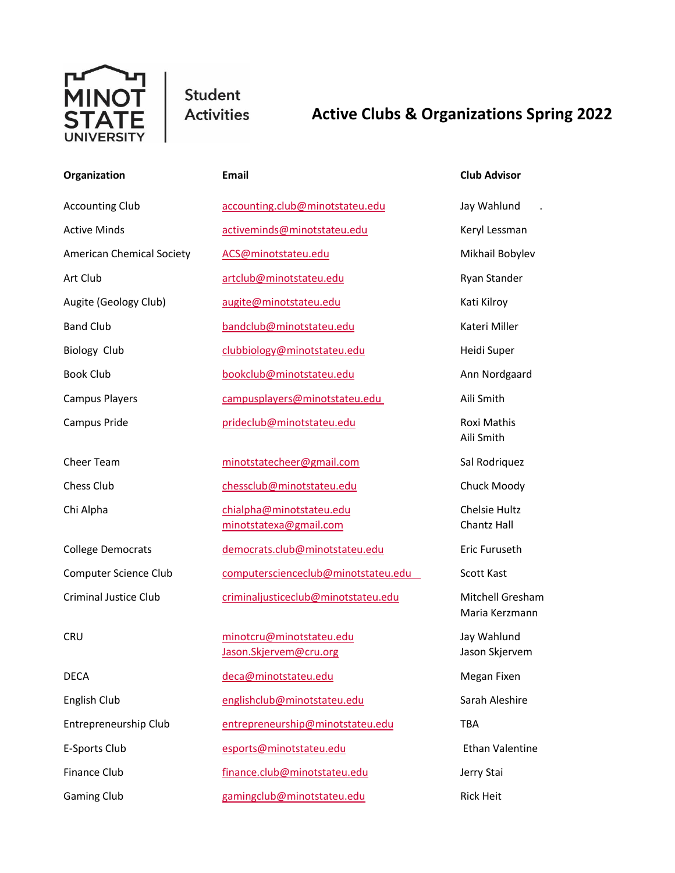

Student **Activities** 

## **Active Clubs & Organizations Spring 2022**

| Organization                     | Email                                              | <b>Club Advisor</b>                |
|----------------------------------|----------------------------------------------------|------------------------------------|
| <b>Accounting Club</b>           | accounting.club@minotstateu.edu                    | Jay Wahlund                        |
| <b>Active Minds</b>              | activeminds@minotstateu.edu                        | Keryl Lessman                      |
| <b>American Chemical Society</b> | ACS@minotstateu.edu                                | Mikhail Bobylev                    |
| Art Club                         | artclub@minotstateu.edu                            | Ryan Stander                       |
| Augite (Geology Club)            | augite@minotstateu.edu                             | Kati Kilroy                        |
| <b>Band Club</b>                 | bandclub@minotstateu.edu                           | Kateri Miller                      |
| <b>Biology Club</b>              | clubbiology@minotstateu.edu                        | Heidi Super                        |
| <b>Book Club</b>                 | bookclub@minotstateu.edu                           | Ann Nordgaard                      |
| <b>Campus Players</b>            | campusplayers@minotstateu.edu                      | Aili Smith                         |
| Campus Pride                     | prideclub@minotstateu.edu                          | Roxi Mathis<br>Aili Smith          |
| Cheer Team                       | minotstatecheer@gmail.com                          | Sal Rodriquez                      |
| <b>Chess Club</b>                | chessclub@minotstateu.edu                          | Chuck Moody                        |
| Chi Alpha                        | chialpha@minotstateu.edu<br>minotstatexa@gmail.com | Chelsie Hultz<br>Chantz Hall       |
| <b>College Democrats</b>         | democrats.club@minotstateu.edu                     | Eric Furuseth                      |
| Computer Science Club            | computerscienceclub@minotstateu.edu                | Scott Kast                         |
| <b>Criminal Justice Club</b>     | criminaljusticeclub@minotstateu.edu                | Mitchell Gresham<br>Maria Kerzmann |
| <b>CRU</b>                       | minotcru@minotstateu.edu<br>Jason.Skjervem@cru.org | Jay Wahlund<br>Jason Skjervem      |
| <b>DECA</b>                      | deca@minotstateu.edu                               | Megan Fixen                        |
| English Club                     | englishclub@minotstateu.edu                        | Sarah Aleshire                     |
| Entrepreneurship Club            | entrepreneurship@minotstateu.edu                   | <b>TBA</b>                         |
|                                  |                                                    |                                    |

E-Sports Club [esports@minotstateu.edu](mailto:esports@minotstateu.edu) Ethan Valentine Finance Club [finance.club@minotstateu.edu](mailto:finance.club@minotstateu.edu) Jerry Stai Gaming Club **[gamingclub@minotstateu.edu](mailto:gamingclub@minotstateu.edu)** Rick Heit

Aili Smith Maria Kerzmann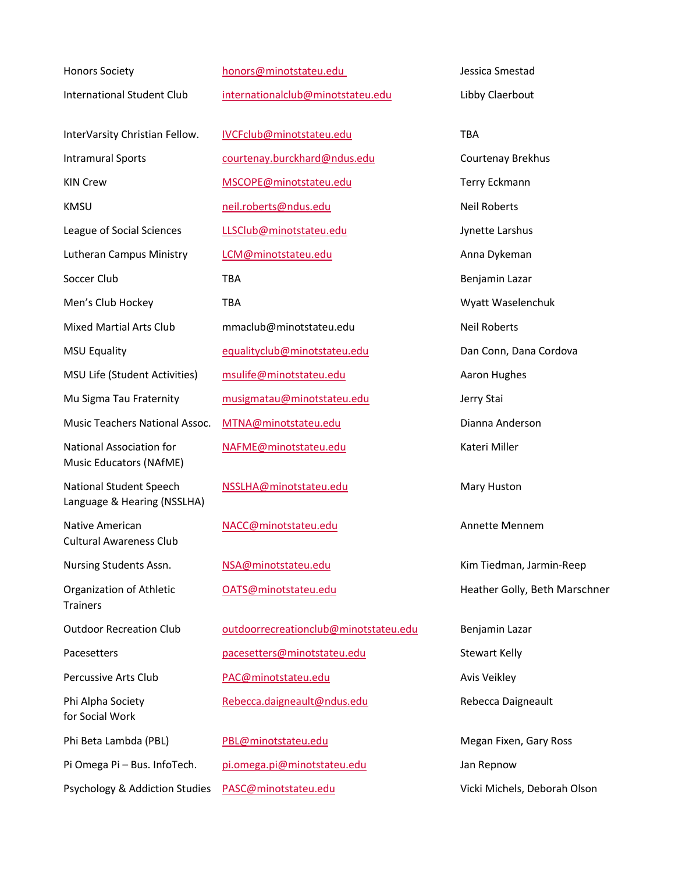Honors Society [honors@minotstateu.edu](mailto:honors@minotstateu.edu) Jessica Smestad Music Educators (NAfME) National Student Speech MSSLHA@minotstateu.edu Mary Huston Language & Hearing (NSSLHA) Native American [NACC@minotstateu.edu](mailto:NACC@minotstateu.edu) Annette Mennem Cultural Awareness Club Nursing Students Assn.  $NSA@minostateu.edu$  Kim Tiedman, Jarmin-Reep **Trainers** for Social Work Phi Beta Lambda (PBL) [PBL@minotstateu.edu](mailto:PBL@minotstateu.edu) Megan Fixen, Gary Ross Psychology & Addiction Studies [PASC@minotstateu.edu](mailto:PASC@minotstateu.edu) Vicki Michels, Deborah Olson

International Student Club [internationalclub@minotstateu.edu](mailto:internationalclub@minotstateu.edu) Libby Claerbout InterVarsity Christian Fellow. [IVCFclub@minotstateu.edu](mailto:IVCFclub@minotstateu.edu) TBA Intramural Sports [courtenay.burckhard@ndus.edu](mailto:courtenay.burckhard@ndus.edu) Courtenay Brekhus KIN Crew **[MSCOPE@minotstateu.edu](mailto:MSCOPE@minotstateu.edu)** Terry Eckmann KMSU **[neil.roberts@ndus.edu](mailto:neil.roberts@ndus.edu)** Neil Roberts League of Social Sciences LESClub@minotstateu.edu Jynette Larshus Lutheran Campus Ministry Lamman Lomaninotstateu.edu Anna Dykeman Soccer Club TBA TBA Benjamin Lazar Men's Club Hockey TBA TBA TERNIS CLUB Hockey TBA TERNIS CLUB HOCKEY TBA WYATT WAS ELECTED AT THE TER Mixed Martial Arts Club mmaclub@minotstateu.edu Neil Roberts MSU Equality **Example 20 Equalityclub@minotstateu.edu** Dan Conn, Dana Cordova MSU Life (Student Activities) [msulife@minotstateu.edu](mailto:msulife@minotstateu.edu) Aaron Hughes Mu Sigma Tau Fraternity [musigmatau@minotstateu.edu](mailto:musigmatau@minotstateu.edu) Jerry Stai Music Teachers National Assoc. [MTNA@minotstateu.edu](mailto:MTNA@minotstateu.edu) Dianna Anderson National Association for MAFME@minotstateu.edu Kateri Miller

Outdoor Recreation Club [outdoorrecreationclub@minotstateu.edu](mailto:outdoorrecreationclub@minotstateu.edu) Benjamin Lazar Pacesetters **[pacesetters@minotstateu.edu](mailto:pacesetters@minotstateu.edu)** Stewart Kelly Percussive Arts Club **[PAC@minotstateu.edu](mailto:PAC@minotstateu.edu)** Avis Veikley Phi Alpha Society **[Rebecca.daigneault@ndus.edu](mailto:Rebecca.daigneault@ndus.edu)** Rebecca Daigneault

Pi Omega Pi – Bus. InfoTech. [pi.omega.pi@minotstateu.edu](mailto:pi.omega.pi@minotstateu.edu) Jan Repnow

Organization of Athletic **[OATS@minotstateu.edu](mailto:OATS@minotstateu.edu)** Heather Golly, Beth Marschner